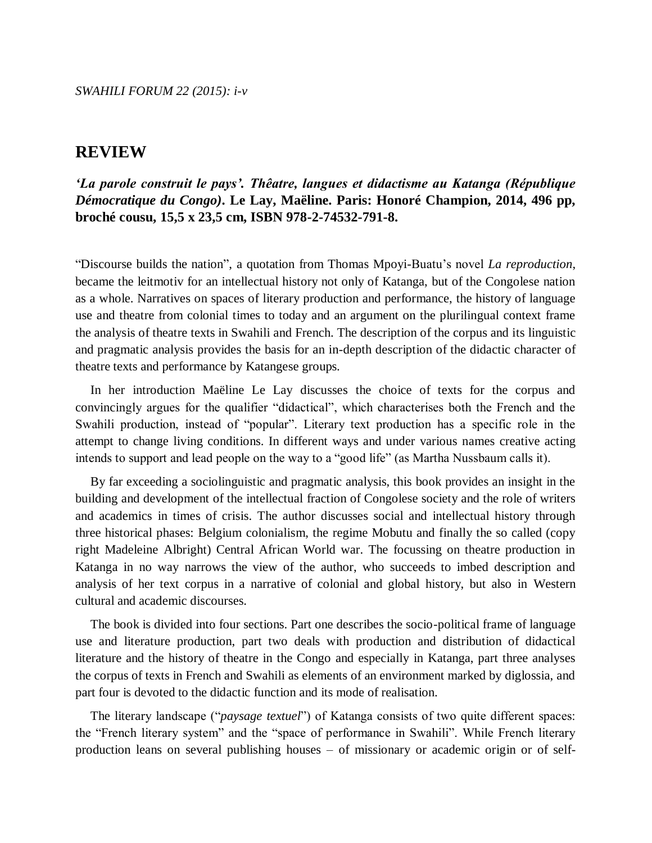*'La parole construit le pays'. Thêatre, langues et didactisme au Katanga (République Démocratique du Congo)***. Le Lay, Maëline. Paris: Honoré Champion, 2014, 496 pp, broché cousu, 15,5 x 23,5 cm, ISBN 978-2-74532-791-8.**

"Discourse builds the nation", a quotation from Thomas Mpoyi-Buatu's novel *La reproduction*, became the leitmotiv for an intellectual history not only of Katanga, but of the Congolese nation as a whole. Narratives on spaces of literary production and performance, the history of language use and theatre from colonial times to today and an argument on the plurilingual context frame the analysis of theatre texts in Swahili and French. The description of the corpus and its linguistic and pragmatic analysis provides the basis for an in-depth description of the didactic character of theatre texts and performance by Katangese groups.

In her introduction Maëline Le Lay discusses the choice of texts for the corpus and convincingly argues for the qualifier "didactical", which characterises both the French and the Swahili production, instead of "popular". Literary text production has a specific role in the attempt to change living conditions. In different ways and under various names creative acting intends to support and lead people on the way to a "good life" (as Martha Nussbaum calls it).

By far exceeding a sociolinguistic and pragmatic analysis, this book provides an insight in the building and development of the intellectual fraction of Congolese society and the role of writers and academics in times of crisis. The author discusses social and intellectual history through three historical phases: Belgium colonialism, the regime Mobutu and finally the so called (copy right Madeleine Albright) Central African World war. The focussing on theatre production in Katanga in no way narrows the view of the author, who succeeds to imbed description and analysis of her text corpus in a narrative of colonial and global history, but also in Western cultural and academic discourses.

The book is divided into four sections. Part one describes the socio-political frame of language use and literature production, part two deals with production and distribution of didactical literature and the history of theatre in the Congo and especially in Katanga, part three analyses the corpus of texts in French and Swahili as elements of an environment marked by diglossia, and part four is devoted to the didactic function and its mode of realisation.

The literary landscape ("*paysage textuel*") of Katanga consists of two quite different spaces: the "French literary system" and the "space of performance in Swahili". While French literary production leans on several publishing houses – of missionary or academic origin or of self-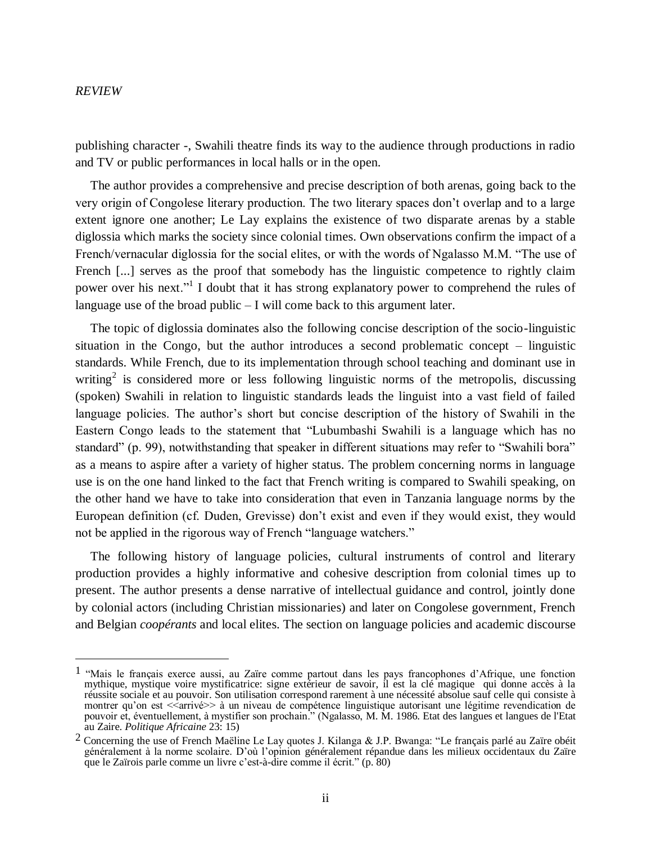publishing character -, Swahili theatre finds its way to the audience through productions in radio and TV or public performances in local halls or in the open.

The author provides a comprehensive and precise description of both arenas, going back to the very origin of Congolese literary production. The two literary spaces don't overlap and to a large extent ignore one another; Le Lay explains the existence of two disparate arenas by a stable diglossia which marks the society since colonial times. Own observations confirm the impact of a French/vernacular diglossia for the social elites, or with the words of Ngalasso M.M. "The use of French [...] serves as the proof that somebody has the linguistic competence to rightly claim power over his next."<sup>1</sup> I doubt that it has strong explanatory power to comprehend the rules of language use of the broad public – I will come back to this argument later.

The topic of diglossia dominates also the following concise description of the socio-linguistic situation in the Congo, but the author introduces a second problematic concept – linguistic standards. While French, due to its implementation through school teaching and dominant use in writing<sup>2</sup> is considered more or less following linguistic norms of the metropolis, discussing (spoken) Swahili in relation to linguistic standards leads the linguist into a vast field of failed language policies. The author's short but concise description of the history of Swahili in the Eastern Congo leads to the statement that "Lubumbashi Swahili is a language which has no standard" (p. 99), notwithstanding that speaker in different situations may refer to "Swahili bora" as a means to aspire after a variety of higher status. The problem concerning norms in language use is on the one hand linked to the fact that French writing is compared to Swahili speaking, on the other hand we have to take into consideration that even in Tanzania language norms by the European definition (cf. Duden, Grevisse) don't exist and even if they would exist, they would not be applied in the rigorous way of French "language watchers."

The following history of language policies, cultural instruments of control and literary production provides a highly informative and cohesive description from colonial times up to present. The author presents a dense narrative of intellectual guidance and control, jointly done by colonial actors (including Christian missionaries) and later on Congolese government, French and Belgian *coopérants* and local elites. The section on language policies and academic discourse

<sup>1</sup> "Mais le français exerce aussi, au Zaïre comme partout dans les pays francophones d'Afrique, une fonction mythique, mystique voire mystificatrice: signe extérieur de savoir, il est la clé magique qui donne accès à la réussite sociale et au pouvoir. Son utilisation correspond rarement à une nécessité absolue sauf celle qui consiste à montrer qu'on est  $\leq$ arrivé $\geq$  à un niveau de compétence linguistique autorisant une légitime revendication de pouvoir et, éventuellement, à mystifier son prochain." (Ngalasso, M. M. 1986. Etat des langues et langues de l'Etat au Zaire. *Politique Africaine* 23: 15)

<sup>&</sup>lt;sup>2</sup> Concerning the use of French Maëline Le Lay quotes J. Kilanga & J.P. Bwanga: "Le français parlé au Zaïre obéit généralement à la norme scolaire. D'où l'opinion généralement répandue dans les milieux occidentaux du Zaïre que le Zaïrois parle comme un livre c'est-à-dire comme il écrit." (p. 80)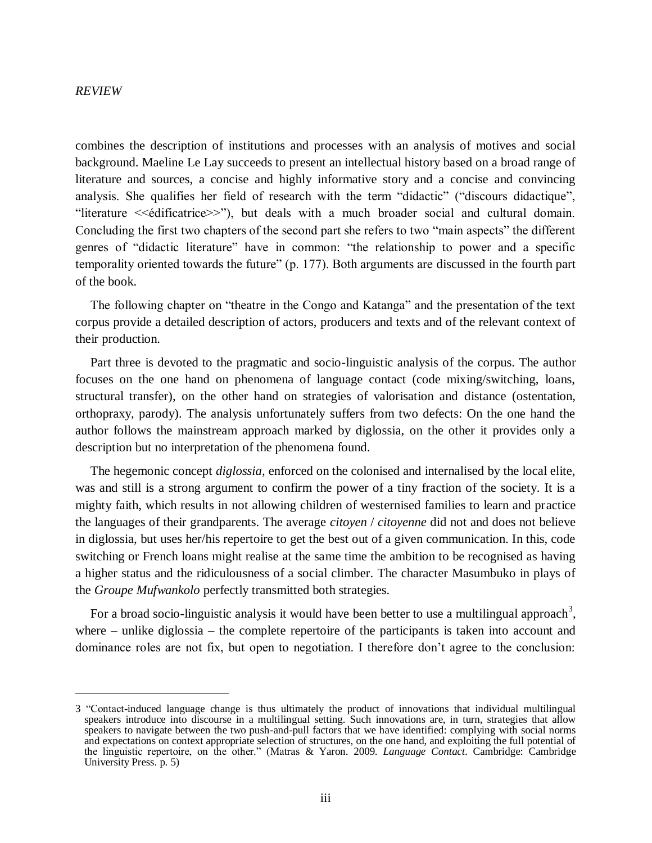combines the description of institutions and processes with an analysis of motives and social background. Maeline Le Lay succeeds to present an intellectual history based on a broad range of literature and sources, a concise and highly informative story and a concise and convincing analysis. She qualifies her field of research with the term "didactic" ("discours didactique", "literature <<édificatrice>>"), but deals with a much broader social and cultural domain. Concluding the first two chapters of the second part she refers to two "main aspects" the different genres of "didactic literature" have in common: "the relationship to power and a specific temporality oriented towards the future" (p. 177). Both arguments are discussed in the fourth part of the book.

The following chapter on "theatre in the Congo and Katanga" and the presentation of the text corpus provide a detailed description of actors, producers and texts and of the relevant context of their production.

Part three is devoted to the pragmatic and socio-linguistic analysis of the corpus. The author focuses on the one hand on phenomena of language contact (code mixing/switching, loans, structural transfer), on the other hand on strategies of valorisation and distance (ostentation, orthopraxy, parody). The analysis unfortunately suffers from two defects: On the one hand the author follows the mainstream approach marked by diglossia, on the other it provides only a description but no interpretation of the phenomena found.

The hegemonic concept *diglossia*, enforced on the colonised and internalised by the local elite, was and still is a strong argument to confirm the power of a tiny fraction of the society. It is a mighty faith, which results in not allowing children of westernised families to learn and practice the languages of their grandparents. The average *citoyen* / *citoyenne* did not and does not believe in diglossia, but uses her/his repertoire to get the best out of a given communication. In this, code switching or French loans might realise at the same time the ambition to be recognised as having a higher status and the ridiculousness of a social climber. The character Masumbuko in plays of the *Groupe Mufwankolo* perfectly transmitted both strategies.

For a broad socio-linguistic analysis it would have been better to use a multilingual approach<sup>3</sup>, where – unlike diglossia – the complete repertoire of the participants is taken into account and dominance roles are not fix, but open to negotiation. I therefore don't agree to the conclusion:

<sup>3</sup> "Contact-induced language change is thus ultimately the product of innovations that individual multilingual speakers introduce into discourse in a multilingual setting. Such innovations are, in turn, strategies that allow speakers to navigate between the two push-and-pull factors that we have identified: complying with social norms and expectations on context appropriate selection of structures, on the one hand, and exploiting the full potential of the linguistic repertoire, on the other." (Matras & Yaron. 2009. *Language Contact*. Cambridge: Cambridge University Press. p. 5)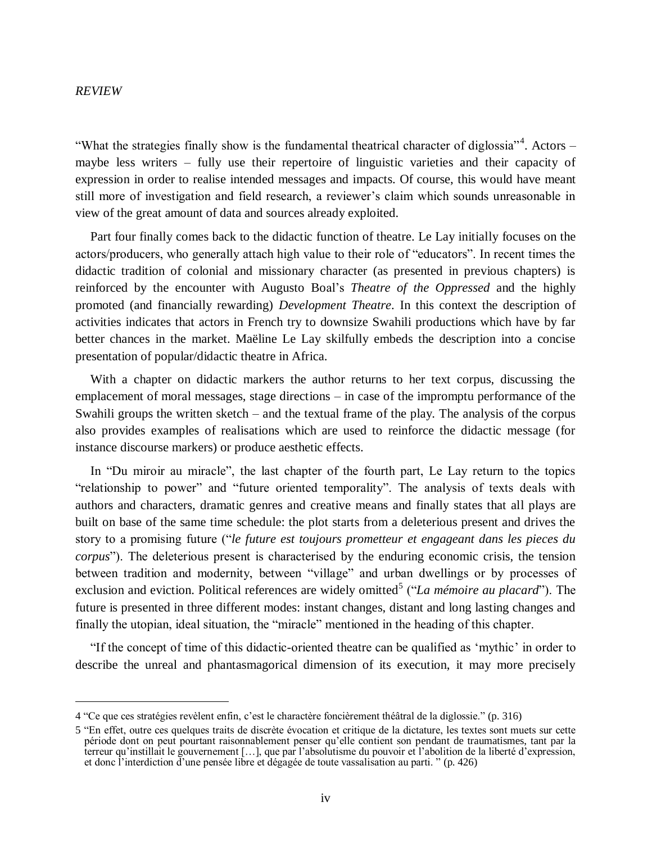"What the strategies finally show is the fundamental theatrical character of diglossia"<sup>4</sup>. Actors – maybe less writers – fully use their repertoire of linguistic varieties and their capacity of expression in order to realise intended messages and impacts. Of course, this would have meant still more of investigation and field research, a reviewer's claim which sounds unreasonable in view of the great amount of data and sources already exploited.

Part four finally comes back to the didactic function of theatre. Le Lay initially focuses on the actors/producers, who generally attach high value to their role of "educators". In recent times the didactic tradition of colonial and missionary character (as presented in previous chapters) is reinforced by the encounter with Augusto Boal's *Theatre of the Oppressed* and the highly promoted (and financially rewarding) *Development Theatre*. In this context the description of activities indicates that actors in French try to downsize Swahili productions which have by far better chances in the market. Maëline Le Lay skilfully embeds the description into a concise presentation of popular/didactic theatre in Africa.

With a chapter on didactic markers the author returns to her text corpus, discussing the emplacement of moral messages, stage directions – in case of the impromptu performance of the Swahili groups the written sketch – and the textual frame of the play. The analysis of the corpus also provides examples of realisations which are used to reinforce the didactic message (for instance discourse markers) or produce aesthetic effects.

In "Du miroir au miracle", the last chapter of the fourth part, Le Lay return to the topics "relationship to power" and "future oriented temporality". The analysis of texts deals with authors and characters, dramatic genres and creative means and finally states that all plays are built on base of the same time schedule: the plot starts from a deleterious present and drives the story to a promising future ("*le future est toujours prometteur et engageant dans les pieces du corpus*"). The deleterious present is characterised by the enduring economic crisis, the tension between tradition and modernity, between "village" and urban dwellings or by processes of exclusion and eviction. Political references are widely omitted<sup>5</sup> ("*La mémoire au placard*"). The future is presented in three different modes: instant changes, distant and long lasting changes and finally the utopian, ideal situation, the "miracle" mentioned in the heading of this chapter.

"If the concept of time of this didactic-oriented theatre can be qualified as 'mythic' in order to describe the unreal and phantasmagorical dimension of its execution, it may more precisely

<sup>4</sup> "Ce que ces stratégies revèlent enfin, c'est le charactère foncièrement théâtral de la diglossie." (p. 316)

<sup>5</sup> "En effet, outre ces quelques traits de discrète évocation et critique de la dictature, les textes sont muets sur cette période dont on peut pourtant raisonnablement penser qu'elle contient son pendant de traumatismes, tant par la terreur qu'instillait le gouvernement […], que par l'absolutisme du pouvoir et l'abolition de la liberté d'expression, et donc l'interdiction d'une pensée libre et dégagée de toute vassalisation au parti. " (p. 426)